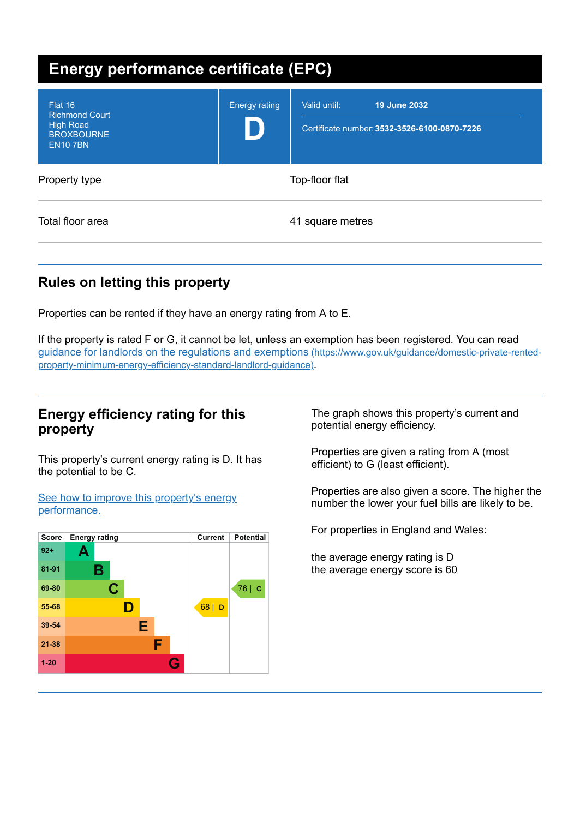| <b>Energy performance certificate (EPC)</b>                                                 |                      |                                                                              |
|---------------------------------------------------------------------------------------------|----------------------|------------------------------------------------------------------------------|
| Flat 16<br><b>Richmond Court</b><br><b>High Road</b><br><b>BROXBOURNE</b><br><b>EN107BN</b> | <b>Energy rating</b> | 19 June 2032<br>Valid until:<br>Certificate number: 3532-3526-6100-0870-7226 |
| Property type                                                                               |                      | Top-floor flat                                                               |
| Total floor area                                                                            |                      | 41 square metres                                                             |

# **Rules on letting this property**

Properties can be rented if they have an energy rating from A to E.

If the property is rated F or G, it cannot be let, unless an exemption has been registered. You can read guidance for landlords on the regulations and exemptions (https://www.gov.uk/guidance/domestic-private-rented[property-minimum-energy-efficiency-standard-landlord-guidance\)](https://www.gov.uk/guidance/domestic-private-rented-property-minimum-energy-efficiency-standard-landlord-guidance).

## **Energy efficiency rating for this property**

This property's current energy rating is D. It has the potential to be C.

See how to improve this property's energy [performance.](#page-2-0)



The graph shows this property's current and potential energy efficiency.

Properties are given a rating from A (most efficient) to G (least efficient).

Properties are also given a score. The higher the number the lower your fuel bills are likely to be.

For properties in England and Wales:

the average energy rating is D the average energy score is 60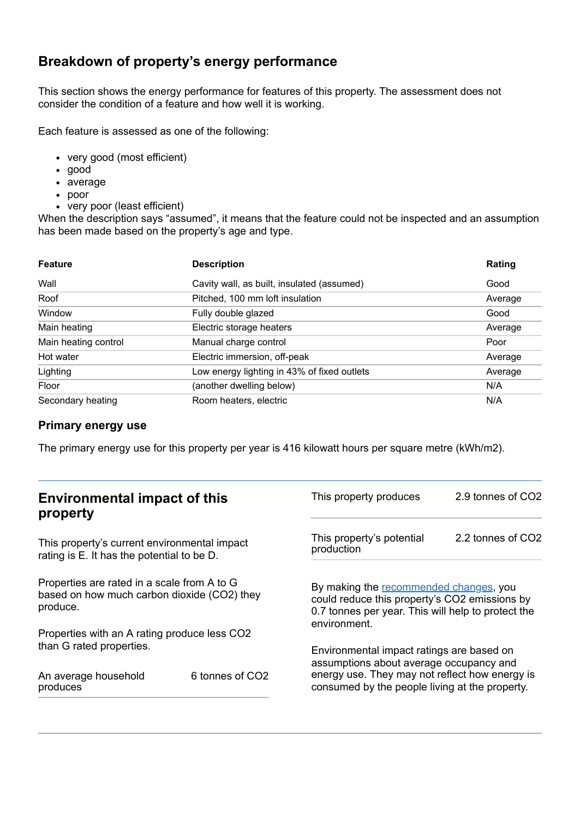# **Breakdown of property's energy performance**

This section shows the energy performance for features of this property. The assessment does not consider the condition of a feature and how well it is working.

Each feature is assessed as one of the following:

- very good (most efficient)
- good
- average
- poor
- very poor (least efficient)

When the description says "assumed", it means that the feature could not be inspected and an assumption has been made based on the property's age and type.

| <b>Feature</b>       | <b>Description</b>                          | Rating  |
|----------------------|---------------------------------------------|---------|
| Wall                 | Cavity wall, as built, insulated (assumed)  | Good    |
| Roof                 | Pitched, 100 mm loft insulation             | Average |
| Window               | Fully double glazed                         | Good    |
| Main heating         | Electric storage heaters                    | Average |
| Main heating control | Manual charge control                       | Poor    |
| Hot water            | Electric immersion, off-peak                | Average |
| Lighting             | Low energy lighting in 43% of fixed outlets | Average |
| Floor                | (another dwelling below)                    | N/A     |
| Secondary heating    | Room heaters, electric                      | N/A     |

### **Primary energy use**

The primary energy use for this property per year is 416 kilowatt hours per square metre (kWh/m2).

| <b>Environmental impact of this</b><br>property                                                        |                             | This property produces                                                                                                                                                                   | 2.9 tonnes of CO2 |
|--------------------------------------------------------------------------------------------------------|-----------------------------|------------------------------------------------------------------------------------------------------------------------------------------------------------------------------------------|-------------------|
| This property's current environmental impact<br>rating is E. It has the potential to be D.             |                             | This property's potential<br>production                                                                                                                                                  | 2.2 tonnes of CO2 |
| Properties are rated in a scale from A to G<br>based on how much carbon dioxide (CO2) they<br>produce. |                             | By making the recommended changes, you<br>could reduce this property's CO2 emissions by<br>0.7 tonnes per year. This will help to protect the<br>environment.                            |                   |
| Properties with an A rating produce less CO2                                                           |                             |                                                                                                                                                                                          |                   |
| than G rated properties.<br>An average household<br>produces                                           | 6 tonnes of CO <sub>2</sub> | Environmental impact ratings are based on<br>assumptions about average occupancy and<br>energy use. They may not reflect how energy is<br>consumed by the people living at the property. |                   |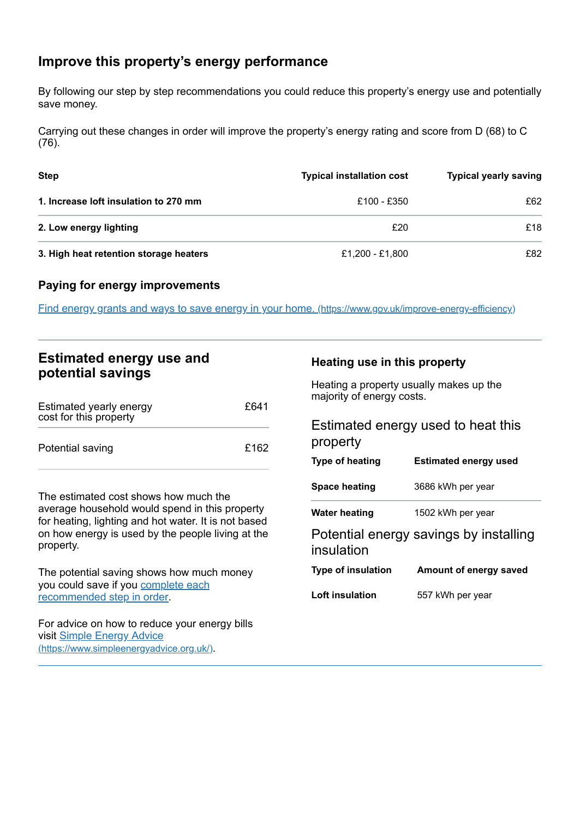# <span id="page-2-0"></span>**Improve this property's energy performance**

By following our step by step recommendations you could reduce this property's energy use and potentially save money.

Carrying out these changes in order will improve the property's energy rating and score from D (68) to C (76).

| <b>Step</b>                            | <b>Typical installation cost</b> | <b>Typical yearly saving</b> |
|----------------------------------------|----------------------------------|------------------------------|
| 1. Increase loft insulation to 270 mm  | £100 - £350                      | £62                          |
| 2. Low energy lighting                 | £20                              | £18                          |
| 3. High heat retention storage heaters | £1,200 - £1,800                  | £82                          |

## **Paying for energy improvements**

Find energy grants and ways to save energy in your home. [\(https://www.gov.uk/improve-energy-efficiency\)](https://www.gov.uk/improve-energy-efficiency)

## **Estimated energy use and potential savings**

| Estimated yearly energy<br>cost for this property | £641 |
|---------------------------------------------------|------|
| Potential saving                                  | £162 |

The estimated cost shows how much the average household would spend in this property for heating, lighting and hot water. It is not based on how energy is used by the people living at the property.

The potential saving shows how much money you could save if you complete each [recommended](#page-2-0) step in order.

For advice on how to reduce your energy bills visit Simple Energy Advice [\(https://www.simpleenergyadvice.org.uk/\)](https://www.simpleenergyadvice.org.uk/).

## **Heating use in this property**

Heating a property usually makes up the majority of energy costs.

# Estimated energy used to heat this property **Type of heating Estimated energy used**

| Space heating             | 3686 kWh per year                      |
|---------------------------|----------------------------------------|
| <b>Water heating</b>      | 1502 kWh per year                      |
| insulation                | Potential energy savings by installing |
| <b>Type of insulation</b> | Amount of energy saved                 |
| Loft insulation           | 557 kWh per year                       |